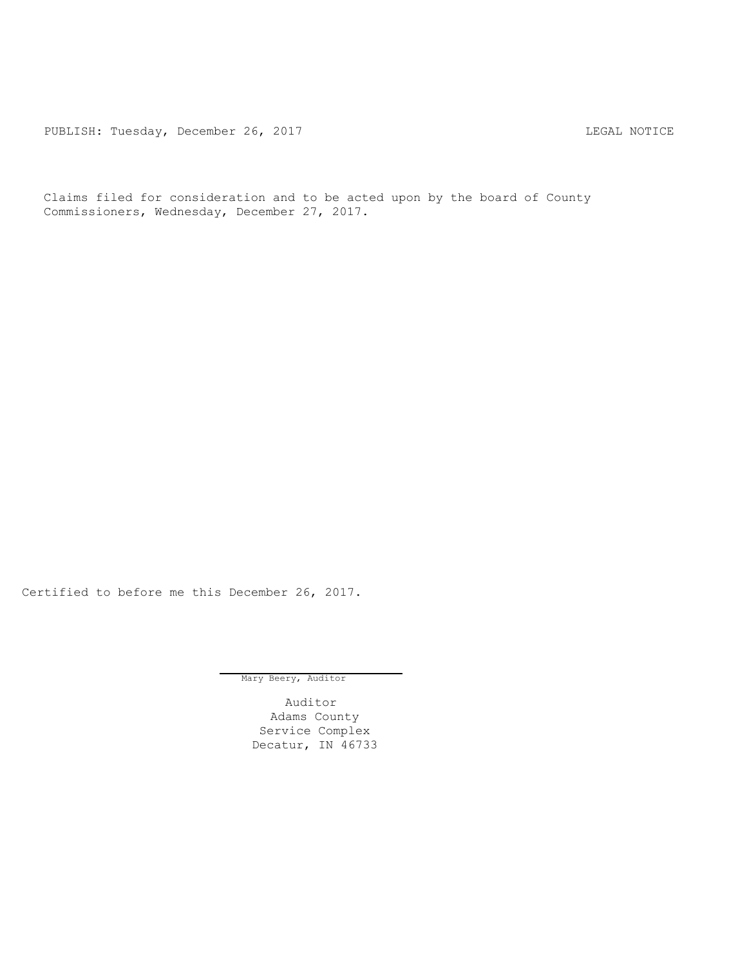PUBLISH: Tuesday, December 26, 2017 TUBLISH: Tuesday, December 26, 2017

Claims filed for consideration and to be acted upon by the board of County Commissioners, Wednesday, December 27, 2017.

Certified to before me this December 26, 2017.

Mary Beery, Auditor

Auditor Adams County Service Complex Decatur, IN 46733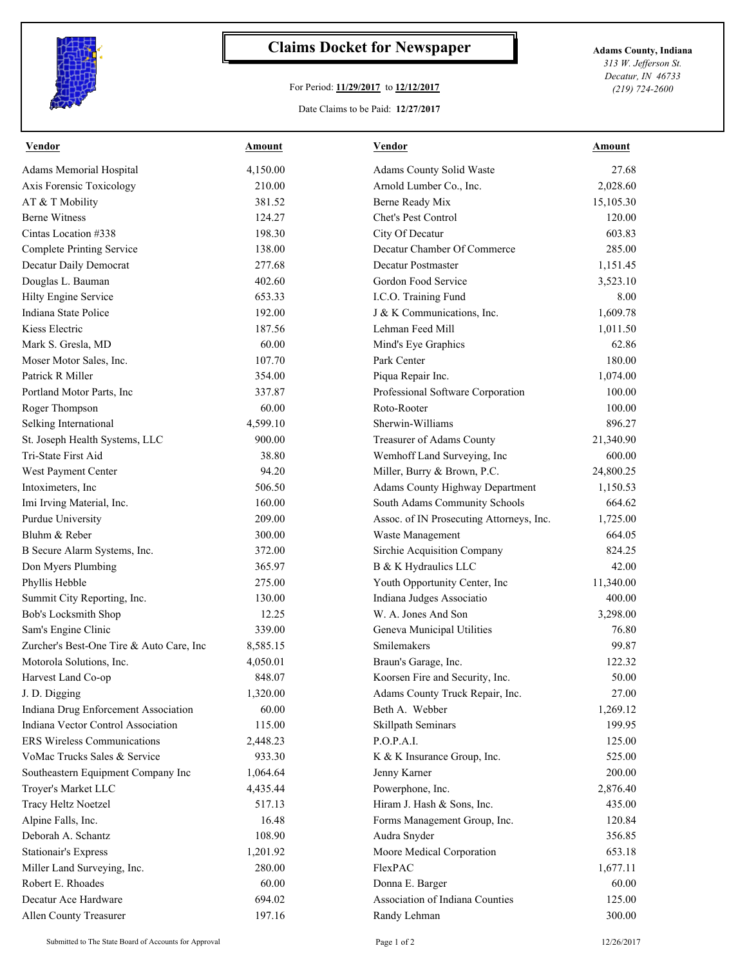

## **Claims Docket for Newspaper Adams County, Indiana**

## For Period: **11/29/2017** to **12/12/2017**

Date Claims to be Paid: **12/27/2017**

*313 W. Jefferson St. Decatur, IN 46733 (219) 724-2600*

| <b>Vendor</b>                            | <b>Amount</b>   | <u>Vendor</u>                            | <u>Amount</u> |
|------------------------------------------|-----------------|------------------------------------------|---------------|
| Adams Memorial Hospital                  | 4,150.00        | Adams County Solid Waste                 | 27.68         |
| Axis Forensic Toxicology                 | 210.00          | Arnold Lumber Co., Inc.                  | 2,028.60      |
| AT & T Mobility                          | 381.52          | Berne Ready Mix                          | 15,105.30     |
| <b>Berne Witness</b>                     | 124.27          | Chet's Pest Control                      | 120.00        |
| Cintas Location #338                     | 198.30          | City Of Decatur                          | 603.83        |
| <b>Complete Printing Service</b>         | 138.00          | Decatur Chamber Of Commerce              | 285.00        |
| Decatur Daily Democrat                   | 277.68          | Decatur Postmaster                       | 1,151.45      |
| Douglas L. Bauman                        | 402.60          | Gordon Food Service                      | 3,523.10      |
| Hilty Engine Service                     | 653.33          | I.C.O. Training Fund                     | 8.00          |
| Indiana State Police                     | 192.00          | J & K Communications, Inc.               | 1,609.78      |
| Kiess Electric                           | 187.56          | Lehman Feed Mill                         | 1,011.50      |
| Mark S. Gresla, MD                       | 60.00           | Mind's Eye Graphics                      | 62.86         |
| Moser Motor Sales, Inc.                  | 107.70          | Park Center                              | 180.00        |
| Patrick R Miller                         | 354.00          | Piqua Repair Inc.                        | 1,074.00      |
| Portland Motor Parts, Inc                | 337.87          | Professional Software Corporation        | 100.00        |
| Roger Thompson                           | 60.00           | Roto-Rooter                              | 100.00        |
| Selking International                    | 4,599.10        | Sherwin-Williams                         | 896.27        |
| St. Joseph Health Systems, LLC           | 900.00          | Treasurer of Adams County                | 21,340.90     |
| Tri-State First Aid                      | 38.80           | Wemhoff Land Surveying, Inc              | 600.00        |
| West Payment Center                      | 94.20           | Miller, Burry & Brown, P.C.              | 24,800.25     |
| Intoximeters, Inc                        | 506.50          | Adams County Highway Department          | 1,150.53      |
| Imi Irving Material, Inc.                | 160.00          | South Adams Community Schools            | 664.62        |
| Purdue University                        | 209.00          | Assoc. of IN Prosecuting Attorneys, Inc. | 1,725.00      |
| Bluhm & Reber                            | 300.00          | Waste Management                         | 664.05        |
| B Secure Alarm Systems, Inc.             | 372.00          | Sirchie Acquisition Company              | 824.25        |
| Don Myers Plumbing                       | 365.97          | B & K Hydraulics LLC                     | 42.00         |
| Phyllis Hebble                           | 275.00          | Youth Opportunity Center, Inc            | 11,340.00     |
| Summit City Reporting, Inc.              | 130.00          | Indiana Judges Associatio                | 400.00        |
|                                          |                 | W. A. Jones And Son                      | 3,298.00      |
| Bob's Locksmith Shop                     | 12.25<br>339.00 |                                          |               |
| Sam's Engine Clinic                      |                 | Geneva Municipal Utilities               | 76.80         |
| Zurcher's Best-One Tire & Auto Care, Inc | 8,585.15        | Smilemakers                              | 99.87         |
| Motorola Solutions, Inc.                 | 4,050.01        | Braun's Garage, Inc.                     | 122.32        |
| Harvest Land Co-op                       | 848.07          | Koorsen Fire and Security, Inc.          | 50.00         |
| J. D. Digging                            | 1,320.00        | Adams County Truck Repair, Inc.          | 27.00         |
| Indiana Drug Enforcement Association     | 60.00           | Beth A. Webber                           | 1,269.12      |
| Indiana Vector Control Association       | 115.00          | Skillpath Seminars                       | 199.95        |
| <b>ERS Wireless Communications</b>       | 2,448.23        | P.O.P.A.I.                               | 125.00        |
| VoMac Trucks Sales & Service             | 933.30          | K & K Insurance Group, Inc.              | 525.00        |
| Southeastern Equipment Company Inc       | 1,064.64        | Jenny Karner                             | 200.00        |
| Troyer's Market LLC                      | 4,435.44        | Powerphone, Inc.                         | 2,876.40      |
| Tracy Heltz Noetzel                      | 517.13          | Hiram J. Hash & Sons, Inc.               | 435.00        |
| Alpine Falls, Inc.                       | 16.48           | Forms Management Group, Inc.             | 120.84        |
| Deborah A. Schantz                       | 108.90          | Audra Snyder                             | 356.85        |
| <b>Stationair's Express</b>              | 1,201.92        | Moore Medical Corporation                | 653.18        |
| Miller Land Surveying, Inc.              | 280.00          | FlexPAC                                  | 1,677.11      |
| Robert E. Rhoades                        | 60.00           | Donna E. Barger                          | 60.00         |
| Decatur Ace Hardware                     | 694.02          | Association of Indiana Counties          | 125.00        |
| Allen County Treasurer                   | 197.16          | Randy Lehman                             | 300.00        |